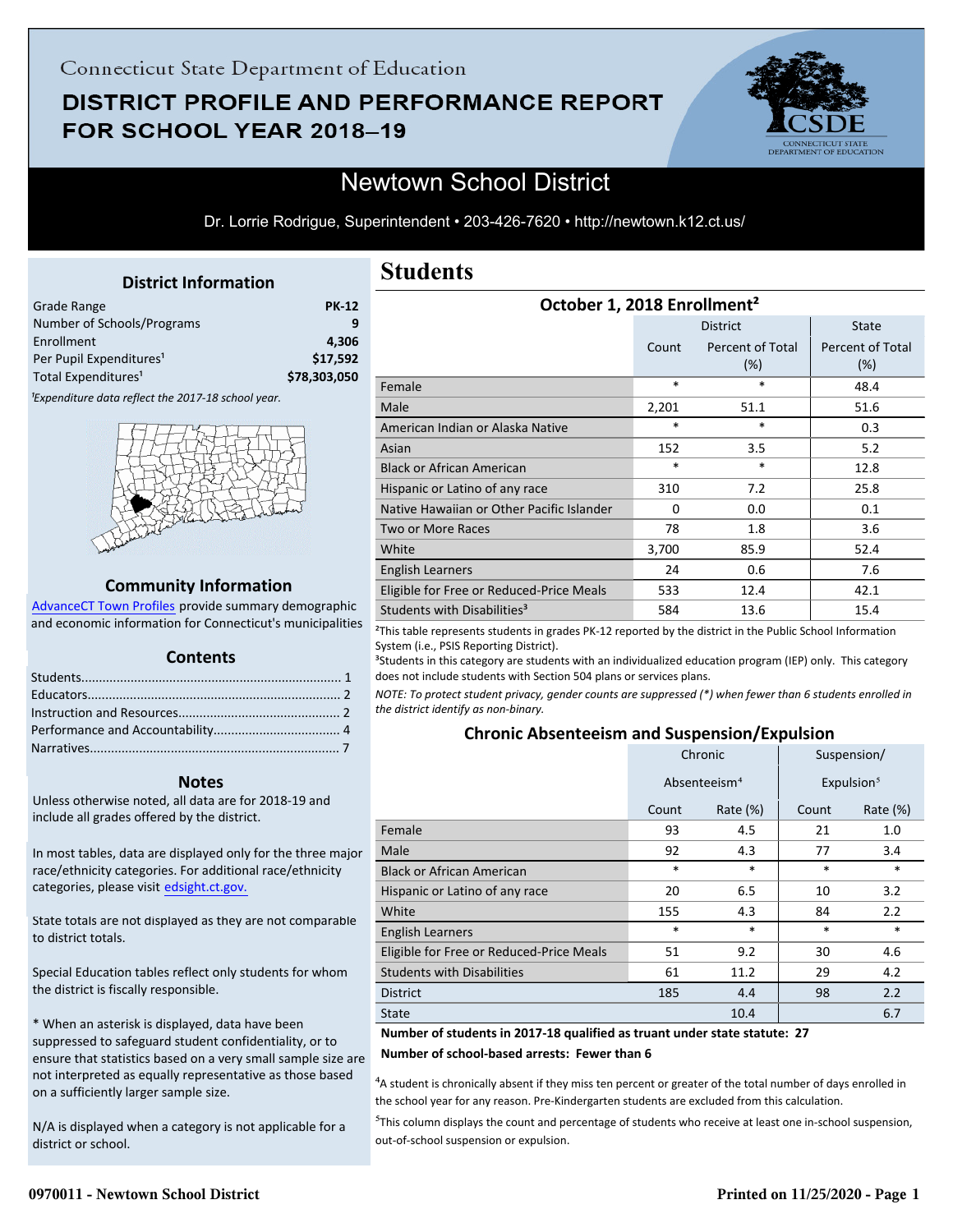# DISTRICT PROFILE AND PERFORMANCE REPORT FOR SCHOOL YEAR 2018-19



## Newtown School District

Dr. Lorrie Rodrigue, Superintendent • 203-426-7620 • http://newtown.k12.ct.us/

### **District Information**

<span id="page-0-0"></span>

| Grade Range                         | <b>PK-12</b> |
|-------------------------------------|--------------|
| Number of Schools/Programs          |              |
| Enrollment                          | 4.306        |
| Per Pupil Expenditures <sup>1</sup> | \$17,592     |
| Total Expenditures <sup>1</sup>     | \$78,303,050 |
|                                     |              |

<sup>1</sup>Expenditure data reflect the 2017-18 school year.



#### **Community Information**

AdvanceCT Town Profiles provide summary demographic  [and economic information for Connecticut's municipalities](http://www.cerc.com/townprofiles/)

### **Contents**

#### **Notes**

Unless otherwise noted, all data are for 2018-19 and include all grades offered by the district.

[In most tables, data are displayed only for the three major](http://edsight.ct.gov/) race/ethnicity categories. For additional race/ethnicity categories, please visit edsight.ct.gov.

State totals are not displayed as they are not comparable to district totals.

Special Education tables reflect only students for whom the district is fiscally responsible.

\* When an asterisk is displayed, data have been suppressed to safeguard student confidentiality, or to ensure that statistics based on a very small sample size are not interpreted as equally representative as those based on a sufficiently larger sample size.

N/A is displayed when a category is not applicable for a district or school.

### **Students**

| October 1, 2018 Enrollment <sup>2</sup>   |        |                         |                         |  |
|-------------------------------------------|--------|-------------------------|-------------------------|--|
|                                           |        | <b>District</b>         | <b>State</b>            |  |
|                                           | Count  | Percent of Total<br>(%) | Percent of Total<br>(%) |  |
| Female                                    | *      | $\ast$                  | 48.4                    |  |
| Male                                      | 2,201  | 51.1                    | 51.6                    |  |
| American Indian or Alaska Native          | $\ast$ | *                       | 0.3                     |  |
| Asian                                     | 152    | 3.5                     | 5.2                     |  |
| <b>Black or African American</b>          | *      | *                       | 12.8                    |  |
| Hispanic or Latino of any race            | 310    | 7.2                     | 25.8                    |  |
| Native Hawaiian or Other Pacific Islander | 0      | 0.0                     | 0.1                     |  |
| <b>Two or More Races</b>                  | 78     | 1.8                     | 3.6                     |  |
| White                                     | 3,700  | 85.9                    | 52.4                    |  |
| <b>English Learners</b>                   | 24     | 0.6                     | 7.6                     |  |
| Eligible for Free or Reduced-Price Meals  | 533    | 12.4                    | 42.1                    |  |
| Students with Disabilities <sup>3</sup>   | 584    | 13.6                    | 15.4                    |  |

²This table represents students in grades PK-12 reported by the district in the Public School Information System (i.e., PSIS Reporting District).

<sup>3</sup>Students in this category are students with an individualized education program (IEP) only. This category does not include students with Section 504 plans or services plans.

*NOTE: To protect student privacy, gender counts are suppressed (\*) when fewer than 6 students enrolled in the district identify as non-binary.*

### **Chronic Absenteeism and Suspension/Expulsion**

|                                          | Chronic                  |             | Suspension/ |                        |
|------------------------------------------|--------------------------|-------------|-------------|------------------------|
|                                          | Absenteeism <sup>4</sup> |             |             | Expulsion <sup>5</sup> |
|                                          | Count                    | Rate $(\%)$ | Count       | Rate $(\%)$            |
| Female                                   | 93                       | 4.5         | 21          | 1.0                    |
| Male                                     | 92                       | 4.3         | 77          | 3.4                    |
| <b>Black or African American</b>         | $\ast$                   | $\ast$      | *           | $\ast$                 |
| Hispanic or Latino of any race           | 20                       | 6.5         | 10          | 3.2                    |
| White                                    | 155                      | 4.3         | 84          | 2.2                    |
| <b>English Learners</b>                  | $\ast$                   | $\ast$      | $\ast$      | $\ast$                 |
| Eligible for Free or Reduced-Price Meals | 51                       | 9.2         | 30          | 4.6                    |
| <b>Students with Disabilities</b>        | 61                       | 11.2        | 29          | 4.2                    |
| <b>District</b>                          | 185                      | 4.4         | 98          | 2.2                    |
| <b>State</b>                             |                          | 10.4        |             | 6.7                    |

**Number of students in 2017-18 qualified as truant under state statute: 27**

**Number of school-based arrests: Fewer than 6**

<sup>4</sup>A student is chronically absent if they miss ten percent or greater of the total number of days enrolled in the school year for any reason. Pre-Kindergarten students are excluded from this calculation.

<sup>5</sup>This column displays the count and percentage of students who receive at least one in-school suspension, out-of-school suspension or expulsion.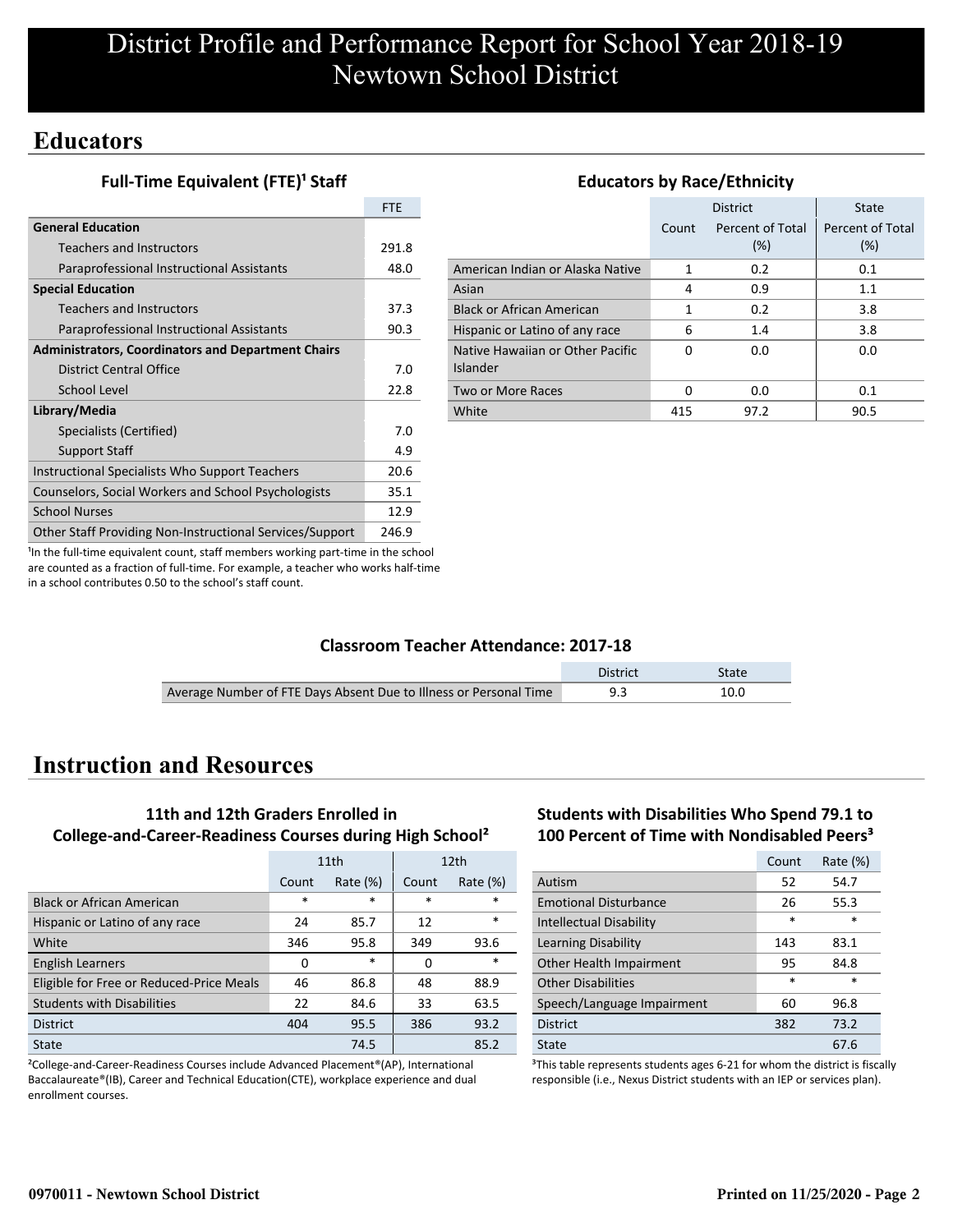## **Educators**

**Full-Time Equivalent (FTE)<sup>1</sup> Staff** 

|                                                           | <b>FTE</b> |
|-----------------------------------------------------------|------------|
| <b>General Education</b>                                  |            |
| <b>Teachers and Instructors</b>                           | 291.8      |
| Paraprofessional Instructional Assistants                 | 48.0       |
| <b>Special Education</b>                                  |            |
| <b>Teachers and Instructors</b>                           | 37.3       |
| Paraprofessional Instructional Assistants                 | 90.3       |
| <b>Administrators, Coordinators and Department Chairs</b> |            |
| District Central Office                                   | 7.0        |
| School Level                                              | 22.8       |
| Library/Media                                             |            |
| Specialists (Certified)                                   | 7.0        |
| <b>Support Staff</b>                                      | 4.9        |
| Instructional Specialists Who Support Teachers            | 20.6       |
| Counselors, Social Workers and School Psychologists       | 35.1       |
| <b>School Nurses</b>                                      | 12.9       |
| Other Staff Providing Non-Instructional Services/Support  | 246.9      |

|                                              |       | <b>District</b>         | <b>State</b>            |
|----------------------------------------------|-------|-------------------------|-------------------------|
|                                              | Count | Percent of Total<br>(%) | Percent of Total<br>(%) |
| American Indian or Alaska Native             | 1     | 0.2                     | 0.1                     |
| Asian                                        | 4     | 0.9                     | 1.1                     |
| <b>Black or African American</b>             | 1     | 0.2                     | 3.8                     |
| Hispanic or Latino of any race               | 6     | 1.4                     | 3.8                     |
| Native Hawaiian or Other Pacific<br>Islander | n     | 0.0                     | 0.0                     |
| Two or More Races                            | O     | 0.0                     | 0.1                     |
| White                                        | 415   | 97.2                    | 90.5                    |

**Educators by Race/Ethnicity**

<sup>1</sup>In the full-time equivalent count, staff members working part-time in the school are counted as a fraction of full-time. For example, a teacher who works half-time in a school contributes 0.50 to the school's staff count.

### **Classroom Teacher Attendance: 2017-18**

|                                                                   | <b>District</b> | State |
|-------------------------------------------------------------------|-----------------|-------|
| Average Number of FTE Days Absent Due to Illness or Personal Time |                 | 10.0  |

## **Instruction and Resources**

### **11th and 12th Graders Enrolled in College-and-Career-Readiness Courses during High School²**

|                                          | 11th   |             | 12 <sub>th</sub> |             |
|------------------------------------------|--------|-------------|------------------|-------------|
|                                          | Count  | Rate $(\%)$ | Count            | Rate $(\%)$ |
| <b>Black or African American</b>         | $\ast$ | $\ast$      | $\ast$           | $\ast$      |
| Hispanic or Latino of any race           | 24     | 85.7        | 12               | $\ast$      |
| White                                    | 346    | 95.8        | 349              | 93.6        |
| <b>English Learners</b>                  | 0      | $\ast$      | 0                | $\ast$      |
| Eligible for Free or Reduced-Price Meals | 46     | 86.8        | 48               | 88.9        |
| <b>Students with Disabilities</b>        | 22     | 84.6        | 33               | 63.5        |
| <b>District</b>                          | 404    | 95.5        | 386              | 93.2        |
| State                                    |        | 74.5        |                  | 85.2        |

²College-and-Career-Readiness Courses include Advanced Placement®(AP), International Baccalaureate®(IB), Career and Technical Education(CTE), workplace experience and dual enrollment courses.

### **Students with Disabilities Who Spend 79.1 to 100 Percent of Time with Nondisabled Peers³**

|                                | Count  | Rate $(\%)$ |
|--------------------------------|--------|-------------|
| Autism                         | 52     | 54.7        |
| <b>Emotional Disturbance</b>   | 26     | 55.3        |
| <b>Intellectual Disability</b> | $\ast$ | $\ast$      |
| Learning Disability            | 143    | 83.1        |
| Other Health Impairment        | 95     | 84.8        |
| <b>Other Disabilities</b>      | $\ast$ | $\ast$      |
| Speech/Language Impairment     | 60     | 96.8        |
| <b>District</b>                | 382    | 73.2        |
| State                          |        | 67.6        |

<sup>3</sup>This table represents students ages 6-21 for whom the district is fiscally responsible (i.e., Nexus District students with an IEP or services plan).

### **0970011 - Newtown School District Printed on 11/25/2020 - Page 2**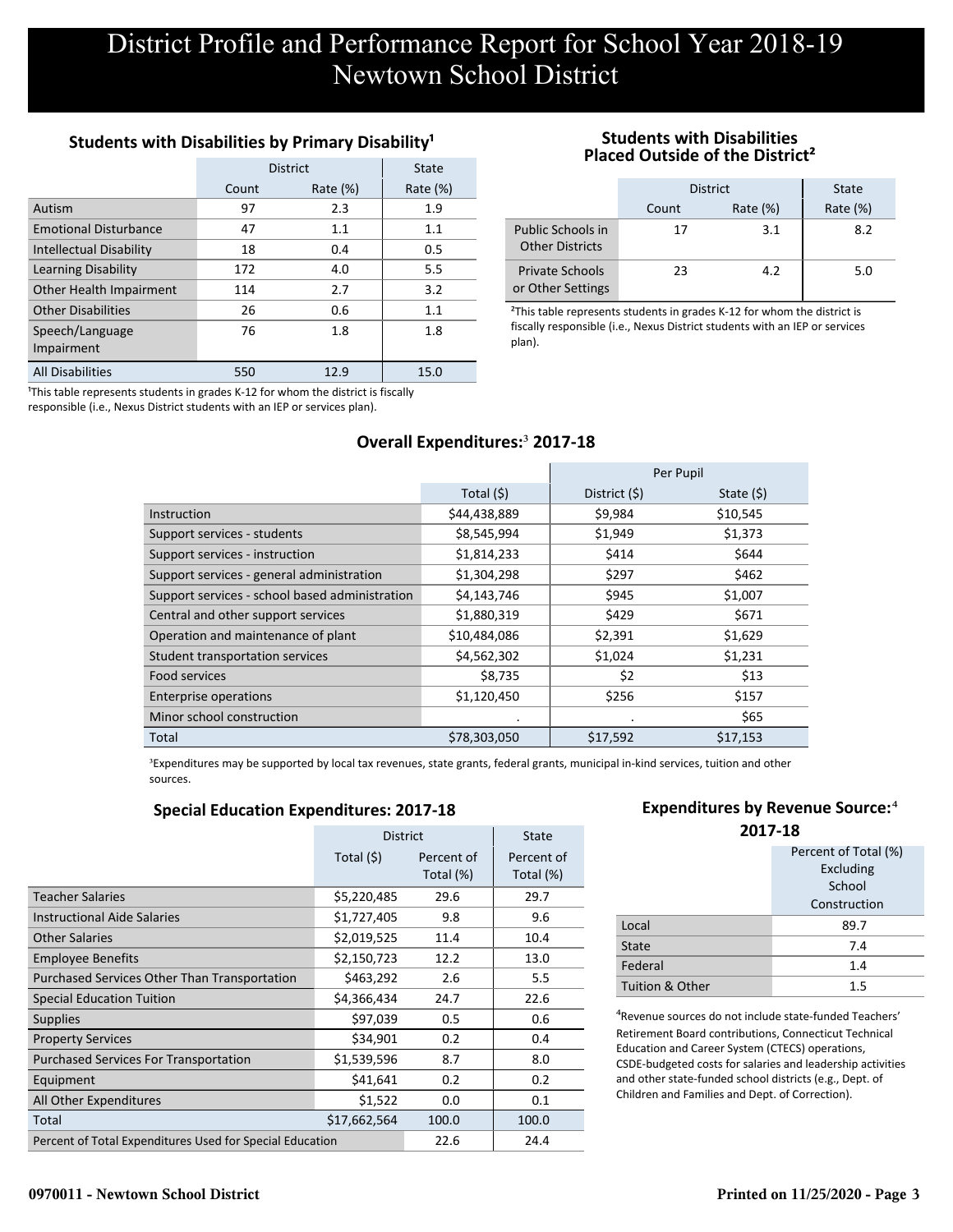### **Students with Disabilities by Primary Disability<sup>1</sup>**

|                                | <b>District</b> | State       |             |
|--------------------------------|-----------------|-------------|-------------|
|                                | Count           | Rate $(\%)$ | Rate $(\%)$ |
| Autism                         | 97              | 2.3         | 1.9         |
| <b>Emotional Disturbance</b>   | 47              | 1.1         | 1.1         |
| <b>Intellectual Disability</b> | 18              | 0.4         | 0.5         |
| <b>Learning Disability</b>     | 172             | 4.0         | 5.5         |
| Other Health Impairment        | 114             | 2.7         | 3.2         |
| <b>Other Disabilities</b>      | 26              | 0.6         | 1.1         |
| Speech/Language<br>Impairment  | 76              | 1.8         | 1.8         |
| <b>All Disabilities</b>        | 550             | 12.9        | 15.0        |

<sup>1</sup>This table represents students in grades K-12 for whom the district is fiscally responsible (i.e., Nexus District students with an IEP or services plan).

### **Students with Disabilities Placed Outside of the District²**

|                                             | <b>District</b> | State       |             |
|---------------------------------------------|-----------------|-------------|-------------|
|                                             | Count           | Rate $(\%)$ | Rate $(\%)$ |
| Public Schools in<br><b>Other Districts</b> | 17              | 3.1         | 8.2         |
| <b>Private Schools</b><br>or Other Settings | 23              | 4.2         | 5.0         |

<sup>2</sup>This table represents students in grades K-12 for whom the district is fiscally responsible (i.e., Nexus District students with an IEP or services plan).

### **Overall Expenditures:**³ **2017-18**

|                                                |              |                | Per Pupil   |
|------------------------------------------------|--------------|----------------|-------------|
|                                                | Total $(5)$  | District $(5)$ | State $(5)$ |
| Instruction                                    | \$44,438,889 | \$9,984        | \$10,545    |
| Support services - students                    | \$8,545,994  | \$1,949        | \$1,373     |
| Support services - instruction                 | \$1,814,233  | \$414          | \$644       |
| Support services - general administration      | \$1,304,298  | \$297          | \$462       |
| Support services - school based administration | \$4,143,746  | \$945          | \$1,007     |
| Central and other support services             | \$1,880,319  | \$429          | \$671       |
| Operation and maintenance of plant             | \$10,484,086 | \$2,391        | \$1,629     |
| Student transportation services                | \$4,562,302  | \$1,024        | \$1,231     |
| Food services                                  | \$8,735      | \$2            | \$13        |
| <b>Enterprise operations</b>                   | \$1,120,450  | \$256          | \$157       |
| Minor school construction                      |              | $\bullet$      | \$65        |
| Total                                          | \$78,303,050 | \$17,592       | \$17,153    |

<sup>3</sup>Expenditures may be supported by local tax revenues, state grants, federal grants, municipal in-kind services, tuition and other sources.

### **Special Education Expenditures: 2017-18**

|                                                          | <b>District</b> |                         | <b>State</b>            |
|----------------------------------------------------------|-----------------|-------------------------|-------------------------|
|                                                          | Total $(5)$     | Percent of<br>Total (%) | Percent of<br>Total (%) |
| <b>Teacher Salaries</b>                                  | \$5,220,485     | 29.6                    | 29.7                    |
| <b>Instructional Aide Salaries</b>                       | \$1,727,405     | 9.8                     | 9.6                     |
| Other Salaries                                           | \$2,019,525     | 11.4                    | 10.4                    |
| <b>Employee Benefits</b>                                 | \$2,150,723     | 12.2                    | 13.0                    |
| Purchased Services Other Than Transportation             | \$463,292       | 2.6                     | 5.5                     |
| <b>Special Education Tuition</b>                         | \$4,366,434     | 24.7                    | 22.6                    |
| <b>Supplies</b>                                          | \$97,039        | 0.5                     | 0.6                     |
| <b>Property Services</b>                                 | \$34,901        | 0.2                     | 0.4                     |
| <b>Purchased Services For Transportation</b>             | \$1,539,596     | 8.7                     | 8.0                     |
| Equipment                                                | \$41,641        | 0.2                     | 0.2                     |
| All Other Expenditures                                   | \$1,522         | 0.0                     | 0.1                     |
| Total                                                    | \$17,662,564    | 100.0                   | 100.0                   |
| Percent of Total Expenditures Used for Special Education |                 | 22.6                    | 24.4                    |

### **Expenditures by Revenue Source:**<sup>4</sup>

| 2017-18         |                      |  |  |  |
|-----------------|----------------------|--|--|--|
|                 | Percent of Total (%) |  |  |  |
|                 | Excluding            |  |  |  |
|                 | School               |  |  |  |
|                 | Construction         |  |  |  |
| Local           | 89.7                 |  |  |  |
| <b>State</b>    | 7.4                  |  |  |  |
| Federal         | 1.4                  |  |  |  |
| Tuition & Other | 1.5                  |  |  |  |

⁴Revenue sources do not include state-funded Teachers' Retirement Board contributions, Connecticut Technical Education and Career System (CTECS) operations, CSDE-budgeted costs for salaries and leadership activities and other state-funded school districts (e.g., Dept. of Children and Families and Dept. of Correction).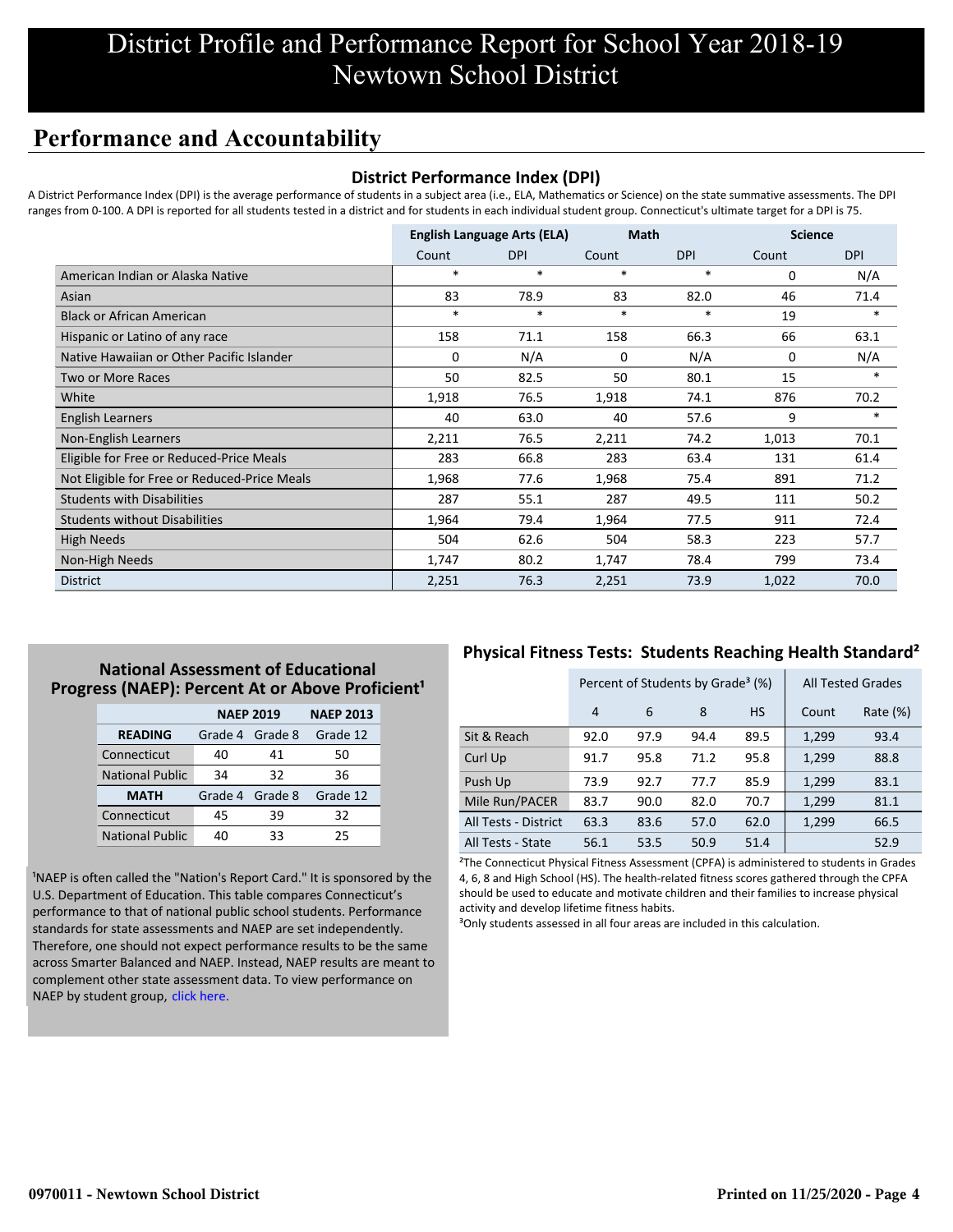## **Performance and Accountability**

### **District Performance Index (DPI)**

A District Performance Index (DPI) is the average performance of students in a subject area (i.e., ELA, Mathematics or Science) on the state summative assessments. The DPI ranges from 0-100. A DPI is reported for all students tested in a district and for students in each individual student group. Connecticut's ultimate target for a DPI is 75.

|                                              |        | <b>English Language Arts (ELA)</b> |        | <b>Math</b> |       | <b>Science</b> |
|----------------------------------------------|--------|------------------------------------|--------|-------------|-------|----------------|
|                                              | Count  | <b>DPI</b>                         | Count  | <b>DPI</b>  | Count | <b>DPI</b>     |
| American Indian or Alaska Native             | $\ast$ | $\ast$                             | $\ast$ | *           | 0     | N/A            |
| Asian                                        | 83     | 78.9                               | 83     | 82.0        | 46    | 71.4           |
| <b>Black or African American</b>             | $\ast$ | *                                  | $\ast$ | $\ast$      | 19    | $\ast$         |
| Hispanic or Latino of any race               | 158    | 71.1                               | 158    | 66.3        | 66    | 63.1           |
| Native Hawaiian or Other Pacific Islander    | 0      | N/A                                | 0      | N/A         | 0     | N/A            |
| <b>Two or More Races</b>                     | 50     | 82.5                               | 50     | 80.1        | 15    | $\ast$         |
| White                                        | 1,918  | 76.5                               | 1,918  | 74.1        | 876   | 70.2           |
| <b>English Learners</b>                      | 40     | 63.0                               | 40     | 57.6        | 9     | $*$            |
| Non-English Learners                         | 2,211  | 76.5                               | 2,211  | 74.2        | 1,013 | 70.1           |
| Eligible for Free or Reduced-Price Meals     | 283    | 66.8                               | 283    | 63.4        | 131   | 61.4           |
| Not Eligible for Free or Reduced-Price Meals | 1,968  | 77.6                               | 1,968  | 75.4        | 891   | 71.2           |
| <b>Students with Disabilities</b>            | 287    | 55.1                               | 287    | 49.5        | 111   | 50.2           |
| <b>Students without Disabilities</b>         | 1,964  | 79.4                               | 1,964  | 77.5        | 911   | 72.4           |
| <b>High Needs</b>                            | 504    | 62.6                               | 504    | 58.3        | 223   | 57.7           |
| Non-High Needs                               | 1,747  | 80.2                               | 1,747  | 78.4        | 799   | 73.4           |
| <b>District</b>                              | 2,251  | 76.3                               | 2,251  | 73.9        | 1,022 | 70.0           |

### **National Assessment of Educational** Progress (NAEP): Percent At or Above Proficient<sup>1</sup>

|                        | <b>NAEP 2019</b> | <b>NAEP 2013</b> |          |
|------------------------|------------------|------------------|----------|
| <b>READING</b>         | Grade 4 Grade 8  |                  | Grade 12 |
| Connecticut            | 40               | 41               | 50       |
| <b>National Public</b> | 34               | 32               | 36       |
| <b>MATH</b>            | Grade 4          | Grade 8          | Grade 12 |
| Connecticut            | 45               | 39               | 32       |
| <b>National Public</b> | ⊿∩               | 33               | 25       |

<sup>1</sup>NAEP is often called the "Nation's Report Card." It is sponsored by the U.S. Department of Education. This table compares Connecticut's performance to that of national public school students. Performance standards for state assessments and NAEP are set independently. Therefore, one should not expect performance results to be the same [across Smarter Balanced and NAEP. Instead, NAEP results are meant to](https://portal.ct.gov/-/media/SDE/Student-Assessment/NAEP/report-card_NAEP-2019.pdf?la=en) complement other state assessment data. To view performance on NAEP by student group, click here.

### **Physical Fitness Tests: Students Reaching Health Standard²**

|                      | Percent of Students by Grade <sup>3</sup> (%) |      |      |           |       | <b>All Tested Grades</b> |
|----------------------|-----------------------------------------------|------|------|-----------|-------|--------------------------|
|                      | $\overline{4}$                                | 6    | 8    | <b>HS</b> | Count | Rate (%)                 |
| Sit & Reach          | 92.0                                          | 97.9 | 94.4 | 89.5      | 1,299 | 93.4                     |
| Curl Up              | 91.7                                          | 95.8 | 71.2 | 95.8      | 1,299 | 88.8                     |
| Push Up              | 73.9                                          | 92.7 | 77.7 | 85.9      | 1,299 | 83.1                     |
| Mile Run/PACER       | 83.7                                          | 90.0 | 82.0 | 70.7      | 1,299 | 81.1                     |
| All Tests - District | 63.3                                          | 83.6 | 57.0 | 62.0      | 1,299 | 66.5                     |
| All Tests - State    | 56.1                                          | 53.5 | 50.9 | 51.4      |       | 52.9                     |

²The Connecticut Physical Fitness Assessment (CPFA) is administered to students in Grades 4, 6, 8 and High School (HS). The health-related fitness scores gathered through the CPFA should be used to educate and motivate children and their families to increase physical activity and develop lifetime fitness habits.

<sup>3</sup>Only students assessed in all four areas are included in this calculation.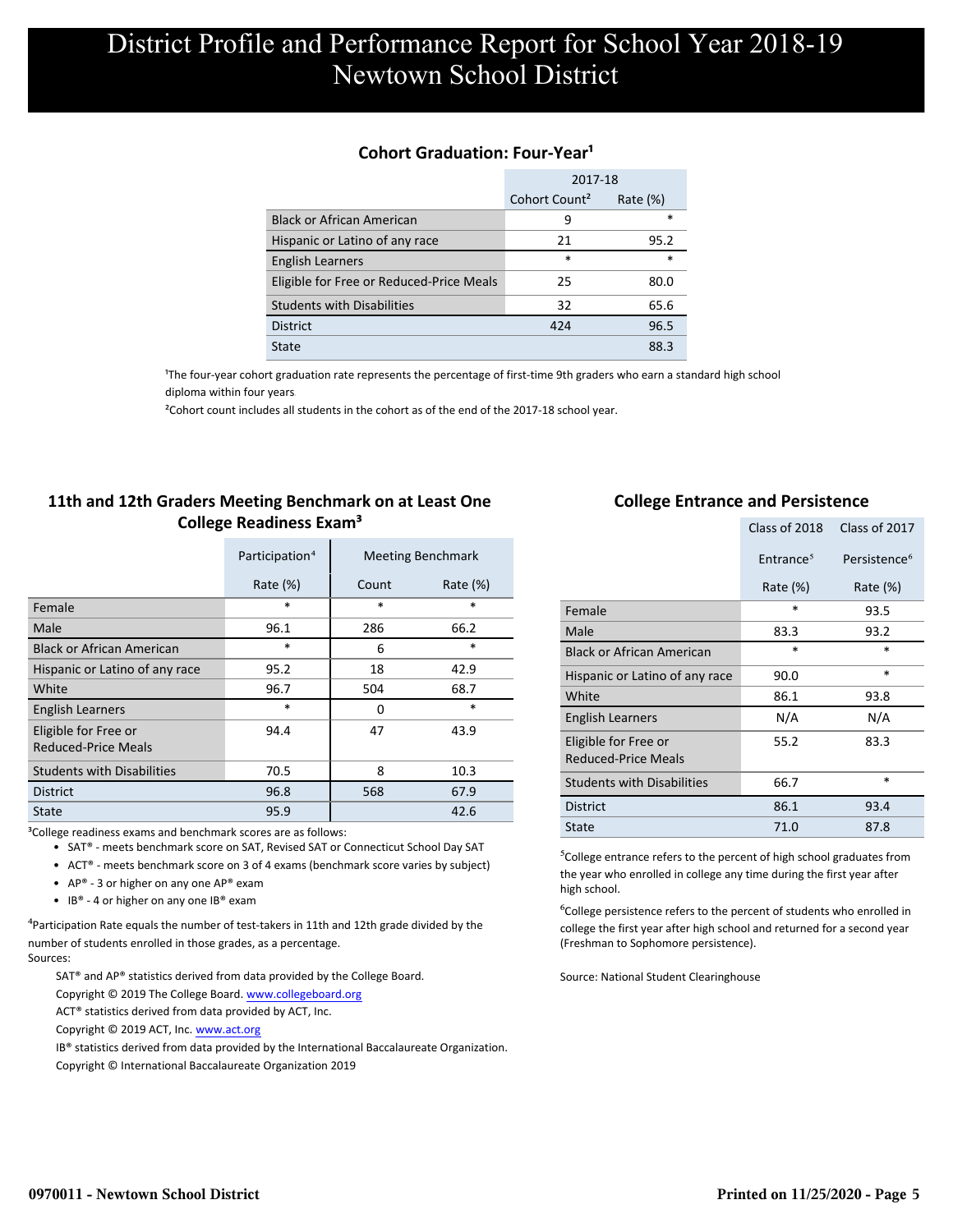### **Cohort Graduation: Four-Year<sup>1</sup>**

|                                          | 2017-18                   |             |
|------------------------------------------|---------------------------|-------------|
|                                          | Cohort Count <sup>2</sup> | Rate $(\%)$ |
| <b>Black or African American</b>         | 9                         | *           |
| Hispanic or Latino of any race           | 21                        | 95.2        |
| <b>English Learners</b>                  | $\ast$                    | $\ast$      |
| Eligible for Free or Reduced-Price Meals | 25                        | 80.0        |
| <b>Students with Disabilities</b>        | 32                        | 65.6        |
| <b>District</b>                          | 424                       | 96.5        |
| State                                    |                           | 88.3        |

<sup>1</sup>The four-year cohort graduation rate represents the percentage of first-time 9th graders who earn a standard high school [diploma within four years.](http://www.sde.ct.gov/sde/cwp/view.asp?a=2758&q=334898)

²Cohort count includes all students in the cohort as of the end of the 2017-18 school year.

### **11th and 12th Graders Meeting Benchmark on at Least One College Readiness Exam³**

|                                                    | Participation <sup>4</sup> |        | <b>Meeting Benchmark</b> |
|----------------------------------------------------|----------------------------|--------|--------------------------|
|                                                    | Rate $(\%)$                | Count  | Rate $(\%)$              |
| Female                                             | $\ast$                     | $\ast$ | *                        |
| Male                                               | 96.1                       | 286    | 66.2                     |
| <b>Black or African American</b>                   | $\ast$                     | 6      | *                        |
| Hispanic or Latino of any race                     | 95.2                       | 18     | 42.9                     |
| White                                              | 96.7                       | 504    | 68.7                     |
| <b>English Learners</b>                            | $\ast$                     | 0      | $\ast$                   |
| Eligible for Free or<br><b>Reduced-Price Meals</b> | 94.4                       | 47     | 43.9                     |
| <b>Students with Disabilities</b>                  | 70.5                       | 8      | 10.3                     |
| <b>District</b>                                    | 96.8                       | 568    | 67.9                     |
| <b>State</b>                                       | 95.9                       |        | 42.6                     |

<sup>3</sup>College readiness exams and benchmark scores are as follows:

- SAT® meets benchmark score on SAT, Revised SAT or Connecticut School Day SAT
- ACT® meets benchmark score on 3 of 4 exams (benchmark score varies by subject)
- AP® 3 or higher on any one AP® exam
- IB® 4 or higher on any one IB® exam

 $4$ Participation Rate equals the number of test-takers in 11th and 12th grade divided by the number of students enrolled in those grades, as a percentage. Sources:

SAT® and AP® statistics derived from data provided by the College Board.

- Copyright © 2019 The College Board. www.collegeboard.org
- ACT® statistics derived from data provided by ACT, Inc.
- Copyright © 2019 ACT, Inc. www.act.org

IB® statistics derived from data provided by the International Baccalaureate Organization.

Copyright © International Baccalaureate Organization 2019

### **College Entrance and Persistence**

|                                                    | Class of 2018         | Class of 2017            |
|----------------------------------------------------|-----------------------|--------------------------|
|                                                    | Entrance <sup>5</sup> | Persistence <sup>6</sup> |
|                                                    | Rate $(\%)$           | Rate $(\%)$              |
| Female                                             | $\ast$                | 93.5                     |
| Male                                               | 83.3                  | 93.2                     |
| <b>Black or African American</b>                   | $\ast$                | *                        |
| Hispanic or Latino of any race                     | 90.0                  | $\ast$                   |
| White                                              | 86.1                  | 93.8                     |
| <b>English Learners</b>                            | N/A                   | N/A                      |
| Eligible for Free or<br><b>Reduced-Price Meals</b> | 55.2                  | 83.3                     |
| <b>Students with Disabilities</b>                  | 66.7                  | *                        |
| <b>District</b>                                    | 86.1                  | 93.4                     |
| State                                              | 71.0                  | 87.8                     |

⁵College entrance refers to the percent of high school graduates from the year who enrolled in college any time during the first year after high school.

⁶College persistence refers to the percent of students who enrolled in college the first year after high school and returned for a second year (Freshman to Sophomore persistence).

Source: National Student Clearinghouse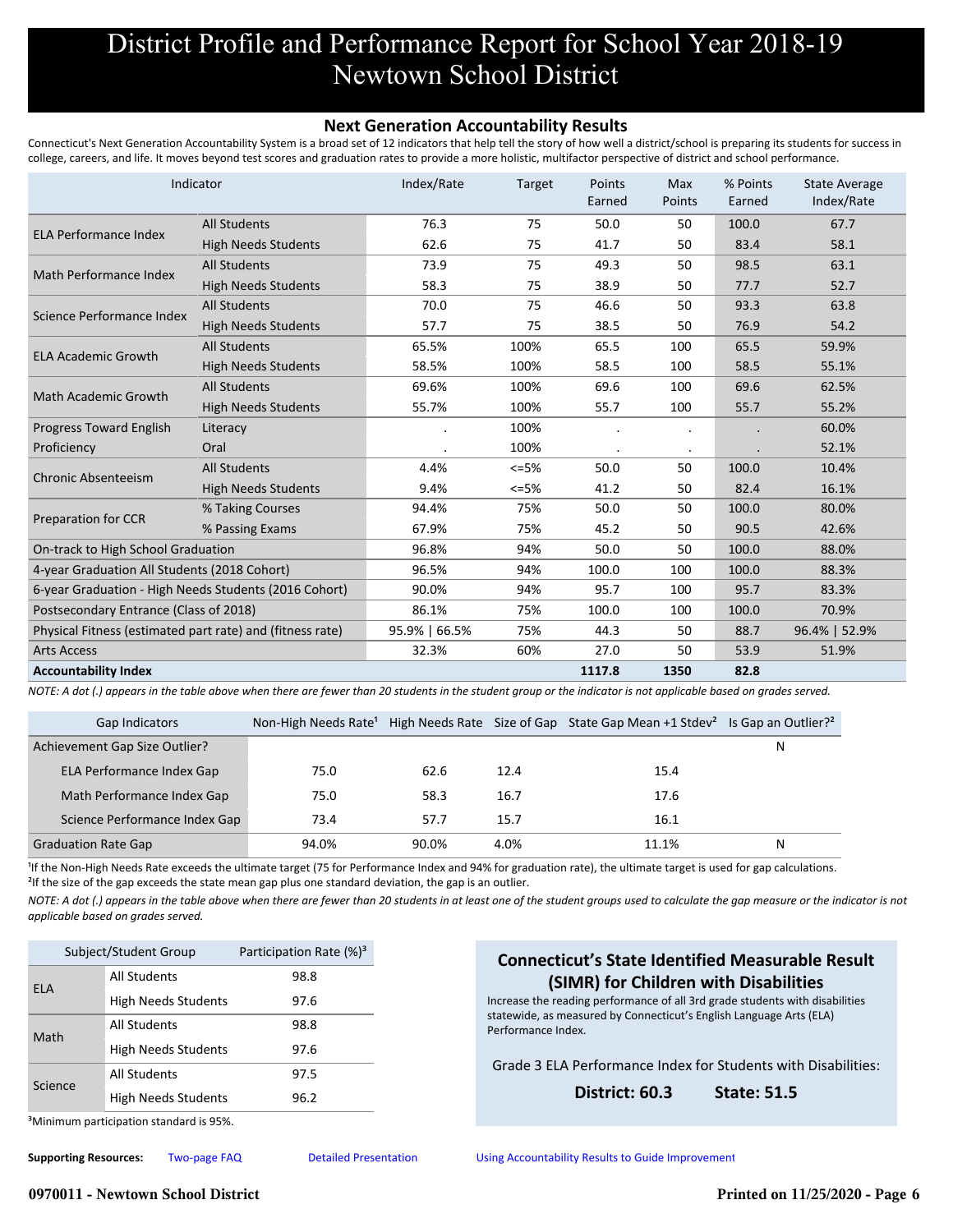#### **Next Generation Accountability Results**

Connecticut's Next Generation Accountability System is a broad set of 12 indicators that help tell the story of how well a district/school is preparing its students for success in college, careers, and life. It moves beyond test scores and graduation rates to provide a more holistic, multifactor perspective of district and school performance.

|                                                           | Indicator                  | Index/Rate    | Target | Points<br>Earned | Max<br>Points | % Points<br>Earned | <b>State Average</b><br>Index/Rate |
|-----------------------------------------------------------|----------------------------|---------------|--------|------------------|---------------|--------------------|------------------------------------|
| ELA Performance Index                                     | <b>All Students</b>        | 76.3          | 75     | 50.0             | 50            | 100.0              | 67.7                               |
|                                                           | <b>High Needs Students</b> | 62.6          | 75     | 41.7             | 50            | 83.4               | 58.1                               |
|                                                           | <b>All Students</b>        | 73.9          | 75     | 49.3             | 50            | 98.5               | 63.1                               |
| Math Performance Index                                    | <b>High Needs Students</b> | 58.3          | 75     | 38.9             | 50            | 77.7               | 52.7                               |
| Science Performance Index                                 | <b>All Students</b>        | 70.0          | 75     | 46.6             | 50            | 93.3               | 63.8                               |
|                                                           | <b>High Needs Students</b> | 57.7          | 75     | 38.5             | 50            | 76.9               | 54.2                               |
|                                                           | <b>All Students</b>        | 65.5%         | 100%   | 65.5             | 100           | 65.5               | 59.9%                              |
| <b>ELA Academic Growth</b>                                | <b>High Needs Students</b> | 58.5%         | 100%   | 58.5             | 100           | 58.5               | 55.1%                              |
| <b>Math Academic Growth</b>                               | <b>All Students</b>        | 69.6%         | 100%   | 69.6             | 100           | 69.6               | 62.5%                              |
|                                                           | <b>High Needs Students</b> | 55.7%         | 100%   | 55.7             | 100           | 55.7               | 55.2%                              |
| Progress Toward English                                   | Literacy                   |               | 100%   |                  |               |                    | 60.0%                              |
| Proficiency                                               | Oral                       |               | 100%   |                  |               |                    | 52.1%                              |
| <b>Chronic Absenteeism</b>                                | <b>All Students</b>        | 4.4%          | $<=5%$ | 50.0             | 50            | 100.0              | 10.4%                              |
|                                                           | <b>High Needs Students</b> | 9.4%          | $<=5%$ | 41.2             | 50            | 82.4               | 16.1%                              |
|                                                           | % Taking Courses           | 94.4%         | 75%    | 50.0             | 50            | 100.0              | 80.0%                              |
| Preparation for CCR                                       | % Passing Exams            | 67.9%         | 75%    | 45.2             | 50            | 90.5               | 42.6%                              |
| On-track to High School Graduation                        |                            | 96.8%         | 94%    | 50.0             | 50            | 100.0              | 88.0%                              |
| 4-year Graduation All Students (2018 Cohort)              |                            | 96.5%         | 94%    | 100.0            | 100           | 100.0              | 88.3%                              |
| 6-year Graduation - High Needs Students (2016 Cohort)     |                            | 90.0%         | 94%    | 95.7             | 100           | 95.7               | 83.3%                              |
| Postsecondary Entrance (Class of 2018)                    |                            | 86.1%         | 75%    | 100.0            | 100           | 100.0              | 70.9%                              |
| Physical Fitness (estimated part rate) and (fitness rate) |                            | 95.9%   66.5% | 75%    | 44.3             | 50            | 88.7               | 96.4%   52.9%                      |
| <b>Arts Access</b>                                        |                            | 32.3%         | 60%    | 27.0             | 50            | 53.9               | 51.9%                              |
| <b>Accountability Index</b>                               |                            |               |        | 1117.8           | 1350          | 82.8               |                                    |

*NOTE: A dot (.) appears in the table above when there are fewer than 20 students in the student group or the indicator is not applicable based on grades served.*

| Gap Indicators                | Non-High Needs Rate <sup>1</sup> |       |      | High Needs Rate Size of Gap State Gap Mean +1 Stdev <sup>2</sup> Is Gap an Outlier? <sup>2</sup> |   |
|-------------------------------|----------------------------------|-------|------|--------------------------------------------------------------------------------------------------|---|
| Achievement Gap Size Outlier? |                                  |       |      |                                                                                                  | N |
| ELA Performance Index Gap     | 75.0                             | 62.6  | 12.4 | 15.4                                                                                             |   |
| Math Performance Index Gap    | 75.0                             | 58.3  | 16.7 | 17.6                                                                                             |   |
| Science Performance Index Gap | 73.4                             | 57.7  | 15.7 | 16.1                                                                                             |   |
| <b>Graduation Rate Gap</b>    | 94.0%                            | 90.0% | 4.0% | 11.1%                                                                                            | N |

<sup>1</sup>If the Non-High Needs Rate exceeds the ultimate target (75 for Performance Index and 94% for graduation rate), the ultimate target is used for gap calculations. <sup>2</sup>If the size of the gap exceeds the state mean gap plus one standard deviation, the gap is an outlier.

*NOTE: A dot (.) appears in the table above when there are fewer than 20 students in at least one of the student groups used to calculate the gap measure or the indicator is not applicable based on grades served.*

| Subject/Student Group                                    |                            | Participation Rate (%) <sup>3</sup> |
|----------------------------------------------------------|----------------------------|-------------------------------------|
| All Students<br><b>ELA</b><br><b>High Needs Students</b> |                            | 98.8                                |
|                                                          |                            | 97.6                                |
| All Students<br>Math                                     |                            | 98.8                                |
|                                                          | <b>High Needs Students</b> | 97.6                                |
| Science                                                  | All Students               | 97.5                                |
|                                                          | <b>High Needs Students</b> | 96.2                                |
|                                                          |                            |                                     |

### **Connecticut's State Identified Measurable Result (SIMR) for Children with Disabilities**

Increase the reading performance of all 3rd grade students with disabilities statewide, as measured by Connecticut's English Language Arts (ELA) Performance Index.

Grade 3 ELA Performance Index for Students with Disabilities:

#### **District: 60.3 State: 51.5**

³Minimum participation standard is 95%.

**Supporting Resources:** [Two-page FAQ](http://edsight.ct.gov/relatedreports/nextgenFAQ_revisedDec2018.pdf) [Detailed Presentation](http://edsight.ct.gov/relatedreports/Next%20Generation%20Accountability%20System_Detailed%20Presentation_Jan_2020.pdf) [Using Accountability Results to Guide Improvement](http://edsight.ct.gov/relatedreports/Using_Accountability_Results_to_Guide_Improvement.pdf)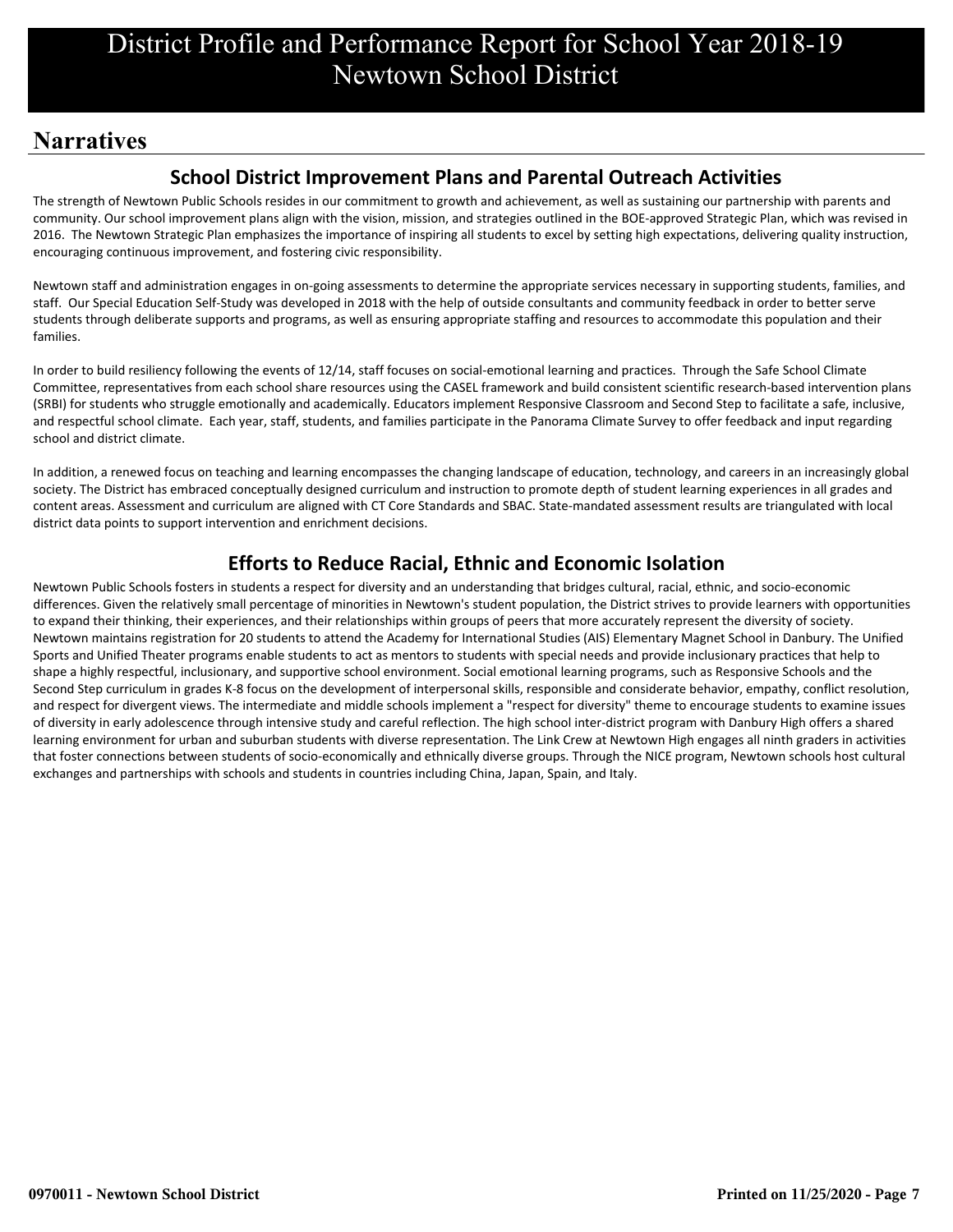# **Narratives**

### **School District Improvement Plans and Parental Outreach Activities**

The strength of Newtown Public Schools resides in our commitment to growth and achievement, as well as sustaining our partnership with parents and community. Our school improvement plans align with the vision, mission, and strategies outlined in the BOE-approved Strategic Plan, which was revised in 2016. The Newtown Strategic Plan emphasizes the importance of inspiring all students to excel by setting high expectations, delivering quality instruction, encouraging continuous improvement, and fostering civic responsibility.

Newtown staff and administration engages in on-going assessments to determine the appropriate services necessary in supporting students, families, and staff. Our Special Education Self-Study was developed in 2018 with the help of outside consultants and community feedback in order to better serve students through deliberate supports and programs, as well as ensuring appropriate staffing and resources to accommodate this population and their families.

In order to build resiliency following the events of 12/14, staff focuses on social-emotional learning and practices. Through the Safe School Climate Committee, representatives from each school share resources using the CASEL framework and build consistent scientific research-based intervention plans (SRBI) for students who struggle emotionally and academically. Educators implement Responsive Classroom and Second Step to facilitate a safe, inclusive, and respectful school climate. Each year, staff, students, and families participate in the Panorama Climate Survey to offer feedback and input regarding school and district climate.

In addition, a renewed focus on teaching and learning encompasses the changing landscape of education, technology, and careers in an increasingly global society. The District has embraced conceptually designed curriculum and instruction to promote depth of student learning experiences in all grades and content areas. Assessment and curriculum are aligned with CT Core Standards and SBAC. State-mandated assessment results are triangulated with local district data points to support intervention and enrichment decisions.

### **Efforts to Reduce Racial, Ethnic and Economic Isolation**

Newtown Public Schools fosters in students a respect for diversity and an understanding that bridges cultural, racial, ethnic, and socio-economic differences. Given the relatively small percentage of minorities in Newtown's student population, the District strives to provide learners with opportunities to expand their thinking, their experiences, and their relationships within groups of peers that more accurately represent the diversity of society. Newtown maintains registration for 20 students to attend the Academy for International Studies (AIS) Elementary Magnet School in Danbury. The Unified Sports and Unified Theater programs enable students to act as mentors to students with special needs and provide inclusionary practices that help to shape a highly respectful, inclusionary, and supportive school environment. Social emotional learning programs, such as Responsive Schools and the Second Step curriculum in grades K-8 focus on the development of interpersonal skills, responsible and considerate behavior, empathy, conflict resolution, and respect for divergent views. The intermediate and middle schools implement a "respect for diversity" theme to encourage students to examine issues of diversity in early adolescence through intensive study and careful reflection. The high school inter-district program with Danbury High offers a shared learning environment for urban and suburban students with diverse representation. The Link Crew at Newtown High engages all ninth graders in activities that foster connections between students of socio-economically and ethnically diverse groups. Through the NICE program, Newtown schools host cultural exchanges and partnerships with schools and students in countries including China, Japan, Spain, and Italy.